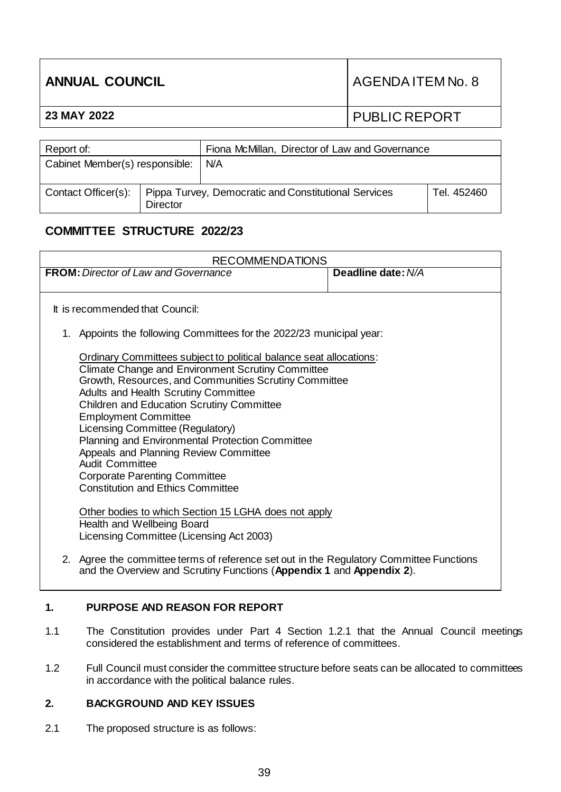| <b>ANNUAL COUNCIL</b> |               | AGENDA ITEM No. 8 |
|-----------------------|---------------|-------------------|
| 23 MAY 2022           |               | PUBLIC REPORT     |
|                       |               |                   |
| $\sim$ $\sim$         | $- \cdot$<br> | $\sim$            |

| Report of:                     |          | Fiona McMillan, Director of Law and Governance                             |             |
|--------------------------------|----------|----------------------------------------------------------------------------|-------------|
| Cabinet Member(s) responsible: |          | N/A                                                                        |             |
|                                | Director | Contact Officer(s):   Pippa Turvey, Democratic and Constitutional Services | Tel. 452460 |

# **COMMITTEE STRUCTURE 2022/23**

| <b>RECOMMENDATIONS</b>                                                                  |                    |  |  |  |
|-----------------------------------------------------------------------------------------|--------------------|--|--|--|
| <b>FROM:</b> Director of Law and Governance                                             | Deadline date: N/A |  |  |  |
|                                                                                         |                    |  |  |  |
| It is recommended that Council:                                                         |                    |  |  |  |
| 1. Appoints the following Committees for the 2022/23 municipal year:                    |                    |  |  |  |
| Ordinary Committees subject to political balance seat allocations:                      |                    |  |  |  |
| <b>Climate Change and Environment Scrutiny Committee</b>                                |                    |  |  |  |
| Growth, Resources, and Communities Scrutiny Committee                                   |                    |  |  |  |
| Adults and Health Scrutiny Committee                                                    |                    |  |  |  |
| <b>Children and Education Scrutiny Committee</b>                                        |                    |  |  |  |
| <b>Employment Committee</b>                                                             |                    |  |  |  |
| Licensing Committee (Regulatory)                                                        |                    |  |  |  |
| Planning and Environmental Protection Committee                                         |                    |  |  |  |
| Appeals and Planning Review Committee<br>Audit Committee                                |                    |  |  |  |
| <b>Corporate Parenting Committee</b>                                                    |                    |  |  |  |
| <b>Constitution and Ethics Committee</b>                                                |                    |  |  |  |
|                                                                                         |                    |  |  |  |
| Other bodies to which Section 15 LGHA does not apply                                    |                    |  |  |  |
| Health and Wellbeing Board                                                              |                    |  |  |  |
| Licensing Committee (Licensing Act 2003)                                                |                    |  |  |  |
|                                                                                         |                    |  |  |  |
| 2. Agree the committee terms of reference set out in the Regulatory Committee Functions |                    |  |  |  |
| and the Overview and Scrutiny Functions (Appendix 1 and Appendix 2).                    |                    |  |  |  |

#### **1. PURPOSE AND REASON FOR REPORT**

- 1.1 The Constitution provides under Part 4 Section 1.2.1 that the Annual Council meetings considered the establishment and terms of reference of committees.
- 1.2 Full Council must consider the committee structure before seats can be allocated to committees in accordance with the political balance rules.

#### **2. BACKGROUND AND KEY ISSUES**

2.1 The proposed structure is as follows: